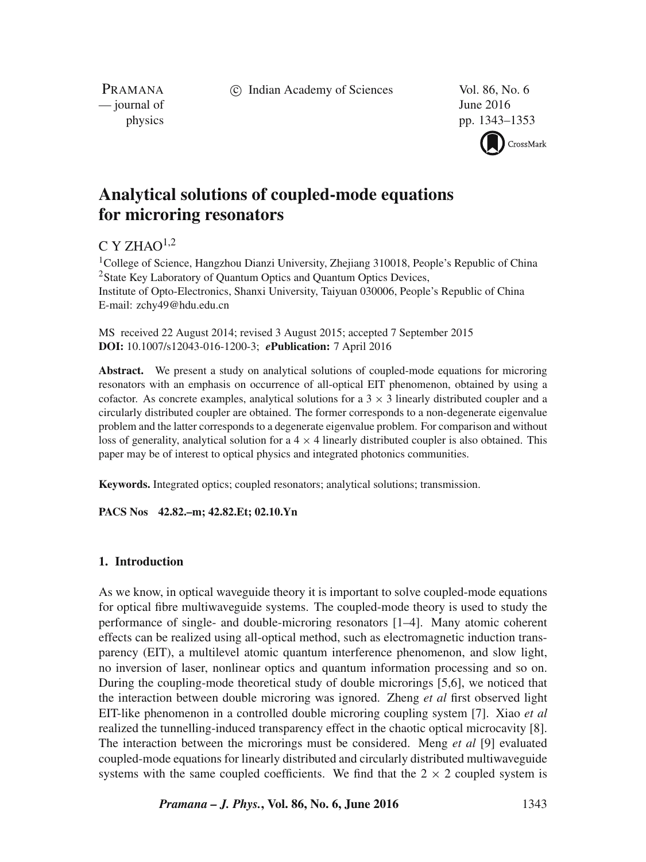c Indian Academy of Sciences Vol. 86, No. 6

PRAMANA  $\frac{1}{2016}$  June 2016

physics pp. 1343–1353

CrossMark

# **Analytical solutions of coupled-mode equations for microring resonators**

# $C Y Z H A O<sup>1,2</sup>$

<sup>1</sup>College of Science, Hangzhou Dianzi University, Zheijang 310018, People's Republic of China 2State Key Laboratory of Quantum Optics and Quantum Optics Devices, Institute of Opto-Electronics, Shanxi University, Taiyuan 030006, People's Republic of China E-mail: zchy49@hdu.edu.cn

MS received 22 August 2014; revised 3 August 2015; accepted 7 September 2015 **DOI:** 10.1007/s12043-016-1200-3; *e***Publication:** 7 April 2016

**Abstract.** We present a study on analytical solutions of coupled-mode equations for microring resonators with an emphasis on occurrence of all-optical EIT phenomenon, obtained by using a cofactor. As concrete examples, analytical solutions for a  $3 \times 3$  linearly distributed coupler and a circularly distributed coupler are obtained. The former corresponds to a non-degenerate eigenvalue problem and the latter corresponds to a degenerate eigenvalue problem. For comparison and without loss of generality, analytical solution for a  $4 \times 4$  linearly distributed coupler is also obtained. This paper may be of interest to optical physics and integrated photonics communities.

**Keywords.** Integrated optics; coupled resonators; analytical solutions; transmission.

**PACS Nos 42.82.–m; 42.82.Et; 02.10.Yn**

# **1. Introduction**

As we know, in optical waveguide theory it is important to solve coupled-mode equations for optical fibre multiwaveguide systems. The coupled-mode theory is used to study the performance of single- and double-microring resonators [1–4]. Many atomic coherent effects can be realized using all-optical method, such as electromagnetic induction transparency (EIT), a multilevel atomic quantum interference phenomenon, and slow light, no inversion of laser, nonlinear optics and quantum information processing and so on. During the coupling-mode theoretical study of double microrings [5,6], we noticed that the interaction between double microring was ignored. Zheng *et al* first observed light EIT-like phenomenon in a controlled double microring coupling system [7]. Xiao *et al* realized the tunnelling-induced transparency effect in the chaotic optical microcavity [8]. The interaction between the microrings must be considered. Meng *et al* [9] evaluated coupled-mode equations for linearly distributed and circularly distributed multiwaveguide systems with the same coupled coefficients. We find that the  $2 \times 2$  coupled system is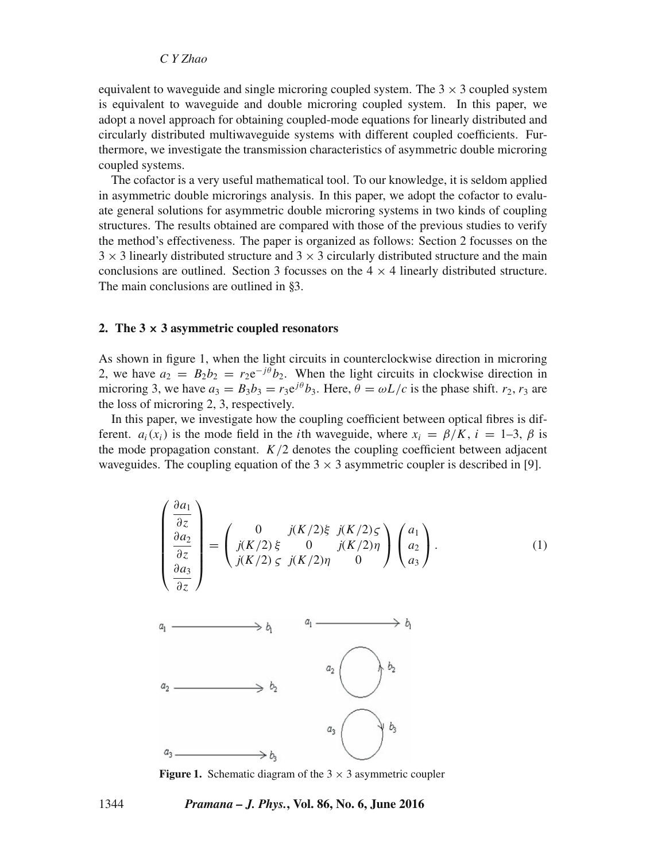equivalent to waveguide and single microring coupled system. The  $3 \times 3$  coupled system is equivalent to waveguide and double microring coupled system. In this paper, we adopt a novel approach for obtaining coupled-mode equations for linearly distributed and circularly distributed multiwaveguide systems with different coupled coefficients. Furthermore, we investigate the transmission characteristics of asymmetric double microring coupled systems.

The cofactor is a very useful mathematical tool. To our knowledge, it is seldom applied in asymmetric double microrings analysis. In this paper, we adopt the cofactor to evaluate general solutions for asymmetric double microring systems in two kinds of coupling structures. The results obtained are compared with those of the previous studies to verify the method's effectiveness. The paper is organized as follows: Section 2 focusses on the  $3 \times 3$  linearly distributed structure and  $3 \times 3$  circularly distributed structure and the main conclusions are outlined. Section 3 focusses on the  $4 \times 4$  linearly distributed structure. The main conclusions are outlined in §3.

#### **2. The 3 × 3 asymmetric coupled resonators**

As shown in figure 1, when the light circuits in counterclockwise direction in microring 2, we have  $a_2 = B_2 b_2 = r_2 e^{-j\theta} b_2$ . When the light circuits in clockwise direction in microring 3, we have  $a_3 = B_3b_3 = r_3e^{j\theta}b_3$ . Here,  $\theta = \omega L/c$  is the phase shift.  $r_2, r_3$  are the loss of microring 2, 3, respectively.

In this paper, we investigate how the coupling coefficient between optical fibres is different.  $a_i(x_i)$  is the mode field in the *i*th waveguide, where  $x_i = \beta/K$ ,  $i = 1-3$ ,  $\beta$  is the mode propagation constant.  $K/2$  denotes the coupling coefficient between adjacent waveguides. The coupling equation of the  $3 \times 3$  asymmetric coupler is described in [9].

$$
\begin{pmatrix}\n\frac{\partial a_1}{\partial z} \\
\frac{\partial a_2}{\partial z} \\
\frac{\partial a_3}{\partial z}\n\end{pmatrix} = \begin{pmatrix}\n0 & j(K/2)\xi & j(K/2)\zeta \\
j(K/2)\xi & 0 & j(K/2)\eta \\
j(K/2)\zeta & j(K/2)\eta & 0\n\end{pmatrix} \begin{pmatrix}\na_1 \\
a_2 \\
a_3\n\end{pmatrix}.
$$
\n(1)



**Figure 1.** Schematic diagram of the  $3 \times 3$  asymmetric coupler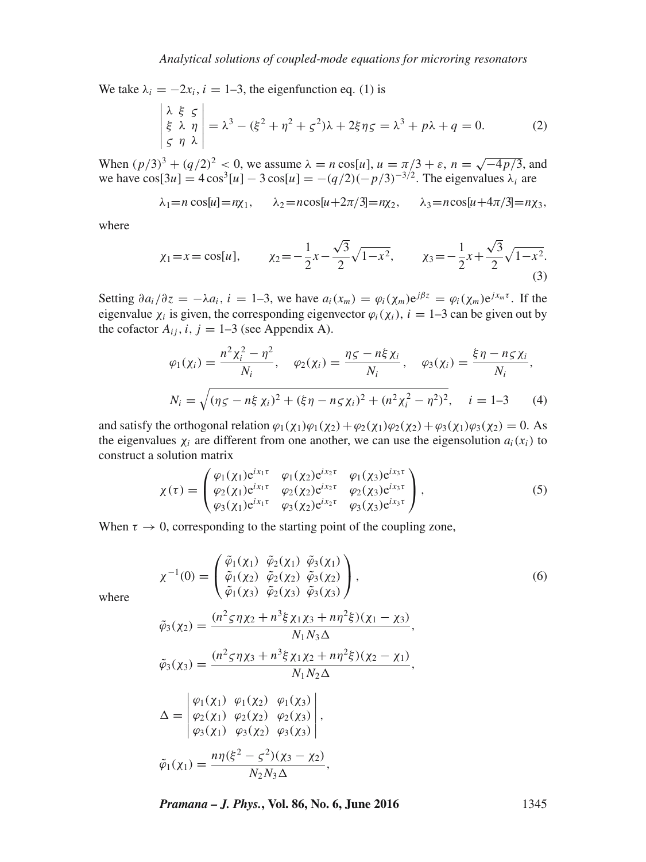We take  $\lambda_i = -2x_i$ ,  $i = 1-3$ , the eigenfunction eq. (1) is

$$
\begin{vmatrix} \lambda & \xi & \zeta \\ \xi & \lambda & \eta \\ \zeta & \eta & \lambda \end{vmatrix} = \lambda^3 - (\xi^2 + \eta^2 + \zeta^2)\lambda + 2\xi\eta\zeta = \lambda^3 + p\lambda + q = 0.
$$
 (2)

When  $(p/3)^3 + (q/2)^2 < 0$ , we assume  $\lambda = n \cos[u]$ ,  $u = \pi/3 + \varepsilon$ ,  $n = \sqrt{-4p/3}$ , and we have  $\cos[3u] = 4\cos^3[u] - 3\cos[u] = -(q/2)(-p/3)^{-3/2}$ . The eigenvalues  $\lambda_i$  are

$$
\lambda_1 = n \cos[u] = n\chi_1, \quad \lambda_2 = n \cos[u + 2\pi/3] = n\chi_2, \quad \lambda_3 = n \cos[u + 4\pi/3] = n\chi_3,
$$

where

$$
\chi_1 = x = \cos[u],
$$
\n
$$
\chi_2 = -\frac{1}{2}x - \frac{\sqrt{3}}{2}\sqrt{1 - x^2},
$$
\n
$$
\chi_3 = -\frac{1}{2}x + \frac{\sqrt{3}}{2}\sqrt{1 - x^2}.
$$
\n(3)

Setting  $\partial a_i/\partial z = -\lambda a_i$ ,  $i = 1-3$ , we have  $a_i(x_m) = \varphi_i(\chi_m) e^{j\beta z} = \varphi_i(\chi_m) e^{jx_m\tau}$ . If the eigenvalue  $\chi_i$  is given, the corresponding eigenvector  $\varphi_i(\chi_i)$ ,  $i = 1-3$  can be given out by the cofactor  $A_{ij}$ ,  $i, j = 1-3$  (see Appendix A).

$$
\varphi_1(\chi_i) = \frac{n^2 \chi_i^2 - \eta^2}{N_i}, \quad \varphi_2(\chi_i) = \frac{\eta \varsigma - n \xi \chi_i}{N_i}, \quad \varphi_3(\chi_i) = \frac{\xi \eta - n \varsigma \chi_i}{N_i},
$$

$$
N_i = \sqrt{(\eta \varsigma - n \xi \chi_i)^2 + (\xi \eta - n \varsigma \chi_i)^2 + (n^2 \chi_i^2 - \eta^2)^2}, \quad i = 1 - 3 \tag{4}
$$

and satisfy the orthogonal relation  $\varphi_1(\chi_1)\varphi_1(\chi_2)+\varphi_2(\chi_1)\varphi_2(\chi_2)+\varphi_3(\chi_1)\varphi_3(\chi_2)=0$ . As the eigenvalues  $\chi_i$  are different from one another, we can use the eigensolution  $a_i(x_i)$  to construct a solution matrix

$$
\chi(\tau) = \begin{pmatrix} \varphi_1(\chi_1) e^{i\chi_1 \tau} & \varphi_1(\chi_2) e^{i\chi_2 \tau} & \varphi_1(\chi_3) e^{i\chi_3 \tau} \\ \varphi_2(\chi_1) e^{i\chi_1 \tau} & \varphi_2(\chi_2) e^{i\chi_2 \tau} & \varphi_2(\chi_3) e^{i\chi_3 \tau} \\ \varphi_3(\chi_1) e^{i\chi_1 \tau} & \varphi_3(\chi_2) e^{i\chi_2 \tau} & \varphi_3(\chi_3) e^{i\chi_3 \tau} \end{pmatrix},
$$
\n(5)

When  $\tau \to 0$ , corresponding to the starting point of the coupling zone,

$$
\chi^{-1}(0) = \begin{pmatrix} \tilde{\varphi}_1(\chi_1) & \tilde{\varphi}_2(\chi_1) & \tilde{\varphi}_3(\chi_1) \\ \tilde{\varphi}_1(\chi_2) & \tilde{\varphi}_2(\chi_2) & \tilde{\varphi}_3(\chi_2) \\ \tilde{\varphi}_1(\chi_3) & \tilde{\varphi}_2(\chi_3) & \tilde{\varphi}_3(\chi_3) \end{pmatrix},
$$
\n
$$
\chi_{\chi_{\mathcal{A}}} = \frac{(n^2 \varsigma \eta \chi_2 + n^3 \xi \chi_1 \chi_3 + n n^2 \xi)(\chi_1 - \chi_3)}{n^2 \varsigma \chi_1 \chi_2 + n^3 \varsigma \chi_1 \chi_3 + n n^2 \xi}
$$
\n(6)

where

$$
\tilde{\varphi}_{3}(\chi_{2}) = \frac{(n^{2} \varsigma \eta \chi_{2} + n^{3} \xi \chi_{1} \chi_{3} + n \eta^{2} \xi)(\chi_{1} - \chi_{3})}{N_{1} N_{3} \Delta},
$$
\n
$$
\tilde{\varphi}_{3}(\chi_{3}) = \frac{(n^{2} \varsigma \eta \chi_{3} + n^{3} \xi \chi_{1} \chi_{2} + n \eta^{2} \xi)(\chi_{2} - \chi_{1})}{N_{1} N_{2} \Delta},
$$
\n
$$
\Delta = \begin{vmatrix}\n\varphi_{1}(\chi_{1}) & \varphi_{1}(\chi_{2}) & \varphi_{1}(\chi_{3}) \\
\varphi_{2}(\chi_{1}) & \varphi_{2}(\chi_{2}) & \varphi_{2}(\chi_{3}) \\
\varphi_{3}(\chi_{1}) & \varphi_{3}(\chi_{2}) & \varphi_{3}(\chi_{3})\n\end{vmatrix},
$$
\n
$$
\tilde{\varphi}_{1}(\chi_{1}) = \frac{n \eta (\xi^{2} - \varsigma^{2})(\chi_{3} - \chi_{2})}{N_{2} N_{3} \Delta},
$$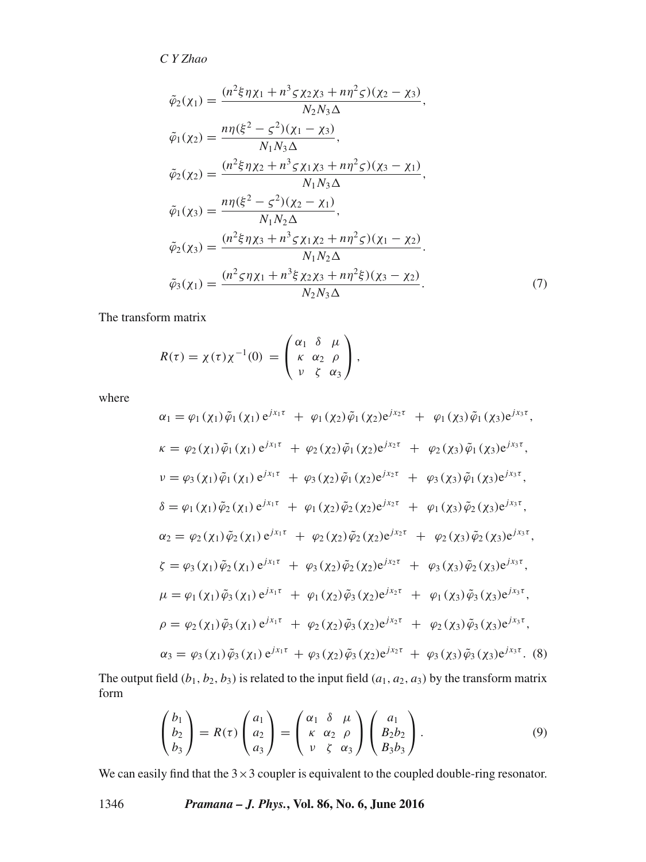$$
\tilde{\varphi}_{2}(\chi_{1}) = \frac{(n^{2}\xi\eta\chi_{1} + n^{3}\zeta\chi_{2}\chi_{3} + n\eta^{2}\zeta)(\chi_{2} - \chi_{3})}{N_{2}N_{3}\Delta}, \n\tilde{\varphi}_{1}(\chi_{2}) = \frac{n\eta(\xi^{2} - \zeta^{2})(\chi_{1} - \chi_{3})}{N_{1}N_{3}\Delta}, \n\tilde{\varphi}_{2}(\chi_{2}) = \frac{(n^{2}\xi\eta\chi_{2} + n^{3}\zeta\chi_{1}\chi_{3} + n\eta^{2}\zeta)(\chi_{3} - \chi_{1})}{N_{1}N_{3}\Delta}, \n\tilde{\varphi}_{1}(\chi_{3}) = \frac{n\eta(\xi^{2} - \zeta^{2})(\chi_{2} - \chi_{1})}{N_{1}N_{2}\Delta}, \n\tilde{\varphi}_{2}(\chi_{3}) = \frac{(n^{2}\xi\eta\chi_{3} + n^{3}\zeta\chi_{1}\chi_{2} + n\eta^{2}\zeta)(\chi_{1} - \chi_{2})}{N_{1}N_{2}\Delta}, \n\tilde{\varphi}_{3}(\chi_{1}) = \frac{(n^{2}\zeta\eta\chi_{1} + n^{3}\xi\chi_{2}\chi_{3} + n\eta^{2}\xi)(\chi_{3} - \chi_{2})}{N_{2}N_{3}\Delta},
$$
\n(7)

The transform matrix

$$
R(\tau) = \chi(\tau)\chi^{-1}(0) = \begin{pmatrix} \alpha_1 & \delta & \mu \\ \kappa & \alpha_2 & \rho \\ \nu & \zeta & \alpha_3 \end{pmatrix},
$$

where

$$
\alpha_{1} = \varphi_{1}(\chi_{1})\tilde{\varphi}_{1}(\chi_{1})e^{jx_{1}\tau} + \varphi_{1}(\chi_{2})\tilde{\varphi}_{1}(\chi_{2})e^{jx_{2}\tau} + \varphi_{1}(\chi_{3})\tilde{\varphi}_{1}(\chi_{3})e^{jx_{3}\tau},
$$
\n
$$
\kappa = \varphi_{2}(\chi_{1})\tilde{\varphi}_{1}(\chi_{1})e^{jx_{1}\tau} + \varphi_{2}(\chi_{2})\tilde{\varphi}_{1}(\chi_{2})e^{jx_{2}\tau} + \varphi_{2}(\chi_{3})\tilde{\varphi}_{1}(\chi_{3})e^{jx_{3}\tau},
$$
\n
$$
\nu = \varphi_{3}(\chi_{1})\tilde{\varphi}_{1}(\chi_{1})e^{jx_{1}\tau} + \varphi_{3}(\chi_{2})\tilde{\varphi}_{1}(\chi_{2})e^{jx_{2}\tau} + \varphi_{3}(\chi_{3})\tilde{\varphi}_{1}(\chi_{3})e^{jx_{3}\tau},
$$
\n
$$
\delta = \varphi_{1}(\chi_{1})\tilde{\varphi}_{2}(\chi_{1})e^{jx_{1}\tau} + \varphi_{1}(\chi_{2})\tilde{\varphi}_{2}(\chi_{2})e^{jx_{2}\tau} + \varphi_{1}(\chi_{3})\tilde{\varphi}_{2}(\chi_{3})e^{jx_{3}\tau},
$$
\n
$$
\alpha_{2} = \varphi_{2}(\chi_{1})\tilde{\varphi}_{2}(\chi_{1})e^{jx_{1}\tau} + \varphi_{2}(\chi_{2})\tilde{\varphi}_{2}(\chi_{2})e^{jx_{2}\tau} + \varphi_{2}(\chi_{3})\tilde{\varphi}_{2}(\chi_{3})e^{jx_{3}\tau},
$$
\n
$$
\zeta = \varphi_{3}(\chi_{1})\tilde{\varphi}_{2}(\chi_{1})e^{jx_{1}\tau} + \varphi_{3}(\chi_{2})\tilde{\varphi}_{2}(\chi_{2})e^{jx_{2}\tau} + \varphi_{3}(\chi_{3})\tilde{\varphi}_{2}(\chi_{3})e^{jx_{3}\tau},
$$
\n
$$
\mu = \varphi_{1}(\chi_{1})\tilde{\varphi}_{3}(\chi_{1})e^{jx_{1}\tau} + \varphi_{1}(\chi_{2})\tilde{\varphi}_{
$$

The output field  $(b_1, b_2, b_3)$  is related to the input field  $(a_1, a_2, a_3)$  by the transform matrix form

$$
\begin{pmatrix} b_1 \\ b_2 \\ b_3 \end{pmatrix} = R(\tau) \begin{pmatrix} a_1 \\ a_2 \\ a_3 \end{pmatrix} = \begin{pmatrix} \alpha_1 & \delta & \mu \\ \kappa & \alpha_2 & \rho \\ \nu & \zeta & \alpha_3 \end{pmatrix} \begin{pmatrix} a_1 \\ B_2 b_2 \\ B_3 b_3 \end{pmatrix}.
$$
 (9)

We can easily find that the  $3 \times 3$  coupler is equivalent to the coupled double-ring resonator.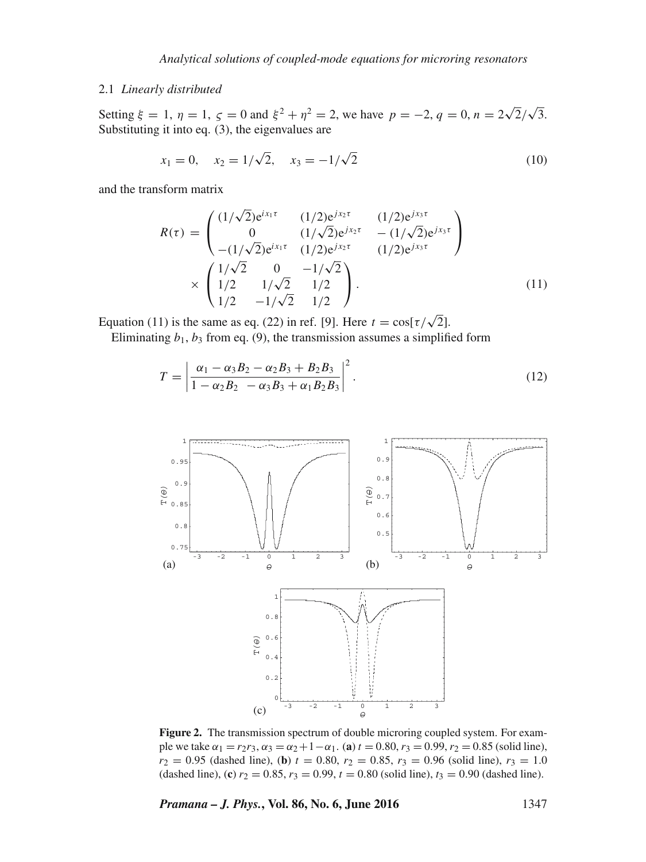# 2.1 *Linearly distributed*

Setting  $\xi = 1$ ,  $\eta = 1$ ,  $\zeta = 0$  and  $\xi^2 + \eta^2 = 2$ , we have  $p = -2$ ,  $q = 0$ ,  $n = 2\sqrt{2}/\sqrt{3}$ . Substituting it into eq. (3), the eigenvalues are

$$
x_1 = 0, \quad x_2 = 1/\sqrt{2}, \quad x_3 = -1/\sqrt{2} \tag{10}
$$

and the transform matrix

$$
R(\tau) = \begin{pmatrix} (1/\sqrt{2})e^{i x_1 \tau} & (1/2)e^{j x_2 \tau} & (1/2)e^{j x_3 \tau} \\ 0 & (1/\sqrt{2})e^{j x_2 \tau} & -(1/\sqrt{2})e^{j x_3 \tau} \\ -(1/\sqrt{2})e^{i x_1 \tau} & (1/2)e^{j x_2 \tau} & (1/2)e^{j x_3 \tau} \end{pmatrix}
$$
  
 
$$
\times \begin{pmatrix} 1/\sqrt{2} & 0 & -1/\sqrt{2} \\ 1/2 & 1/\sqrt{2} & 1/2 \\ 1/2 & -1/\sqrt{2} & 1/2 \end{pmatrix}.
$$
 (11)

Equation (11) is the same as eq. (22) in ref. [9]. Here  $t = \cos[\tau/\sqrt{2}]$ .

Eliminating  $b_1$ ,  $b_3$  from eq. (9), the transmission assumes a simplified form

$$
T = \left| \frac{\alpha_1 - \alpha_3 B_2 - \alpha_2 B_3 + B_2 B_3}{1 - \alpha_2 B_2 - \alpha_3 B_3 + \alpha_1 B_2 B_3} \right|^2.
$$
 (12)



**Figure 2.** The transmission spectrum of double microring coupled system. For example we take  $\alpha_1 = r_2r_3$ ,  $\alpha_3 = \alpha_2 + 1 - \alpha_1$ . (**a**)  $t = 0.80$ ,  $r_3 = 0.99$ ,  $r_2 = 0.85$  (solid line),  $r_2 = 0.95$  (dashed line), (**b**)  $t = 0.80$ ,  $r_2 = 0.85$ ,  $r_3 = 0.96$  (solid line),  $r_3 = 1.0$ (dashed line), (**c**)  $r_2 = 0.85$ ,  $r_3 = 0.99$ ,  $t = 0.80$  (solid line),  $t_3 = 0.90$  (dashed line).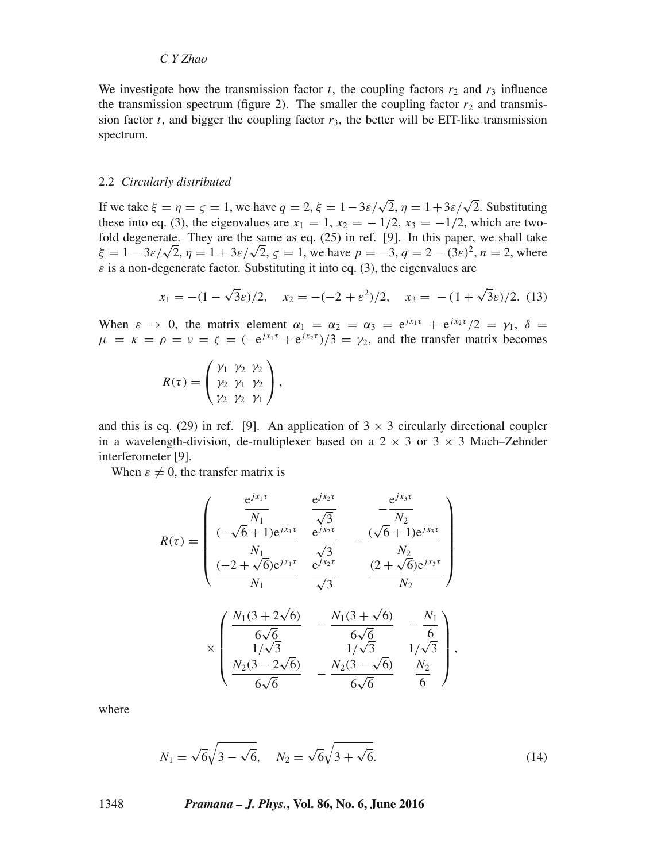We investigate how the transmission factor t, the coupling factors  $r_2$  and  $r_3$  influence the transmission spectrum (figure 2). The smaller the coupling factor  $r_2$  and transmission factor t, and bigger the coupling factor  $r_3$ , the better will be EIT-like transmission spectrum.

#### 2.2 *Circularly distributed*

If we take  $\xi = \eta = \zeta = 1$ , we have  $q = 2$ ,  $\xi = 1 - 3\varepsilon/\sqrt{2}$ ,  $\eta = 1 + 3\varepsilon/\sqrt{2}$ . Substituting these into eq. (3), the eigenvalues are  $x_1 = 1$ ,  $x_2 = -1/2$ ,  $x_3 = -1/2$ , which are twofold degenerate. They are the same as eq. (25) in ref. [9]. In this paper, we shall take  $\xi = 1 - 3\varepsilon/\sqrt{2}$ ,  $\eta = 1 + 3\varepsilon/\sqrt{2}$ ,  $\zeta = 1$ , we have  $p = -3$ ,  $q = 2 - (3\varepsilon)^2$ ,  $n = 2$ , where  $\varepsilon$  is a non-degenerate factor. Substituting it into eq. (3), the eigenvalues are

$$
x_1 = -(1 - \sqrt{3}\varepsilon)/2
$$
,  $x_2 = -(-2 + \varepsilon^2)/2$ ,  $x_3 = -(1 + \sqrt{3}\varepsilon)/2$ . (13)

When  $\varepsilon \to 0$ , the matrix element  $\alpha_1 = \alpha_2 = \alpha_3 = e^{jx_1\tau} + e^{jx_2\tau}/2 = \gamma_1$ ,  $\delta =$  $\mu = \kappa = \rho = \nu = \zeta = (-e^{jx_1\tau} + e^{jx_2\tau})/3 = \gamma_2$ , and the transfer matrix becomes

$$
R(\tau) = \begin{pmatrix} \gamma_1 & \gamma_2 & \gamma_2 \\ \gamma_2 & \gamma_1 & \gamma_2 \\ \gamma_2 & \gamma_2 & \gamma_1 \end{pmatrix},
$$

and this is eq. (29) in ref. [9]. An application of  $3 \times 3$  circularly directional coupler in a wavelength-division, de-multiplexer based on a  $2 \times 3$  or  $3 \times 3$  Mach–Zehnder interferometer [9].

When  $\varepsilon \neq 0$ , the transfer matrix is

$$
R(\tau) = \begin{pmatrix} \frac{e^{j x_1 \tau}}{N_1} & \frac{e^{j x_2 \tau}}{\sqrt{3}} & -\frac{e^{j x_3 \tau}}{N_2} \\ \frac{(-\sqrt{6}+1)e^{j x_1 \tau}}{N_1} & \frac{e^{j x_2 \tau}}{\sqrt{3}} & -\frac{(\sqrt{6}+1)e^{j x_3 \tau}}{N_2} \\ \frac{(-2+\sqrt{6})e^{j x_1 \tau}}{N_1} & \frac{e^{j x_2 \tau}}{\sqrt{3}} & \frac{(2+\sqrt{6})e^{j x_3 \tau}}{N_2} \end{pmatrix}
$$

$$
\times \begin{pmatrix} \frac{N_1(3+2\sqrt{6})}{6\sqrt{6}} & -\frac{N_1(3+\sqrt{6})}{6\sqrt{6}} & -\frac{N_1}{6} \\ \frac{N_2(3-2\sqrt{6})}{6\sqrt{6}} & -\frac{N_2(3-\sqrt{6})}{6\sqrt{6}} & \frac{N_2}{6} \end{pmatrix},
$$

where

$$
N_1 = \sqrt{6}\sqrt{3 - \sqrt{6}}, \quad N_2 = \sqrt{6}\sqrt{3 + \sqrt{6}}.
$$
 (14)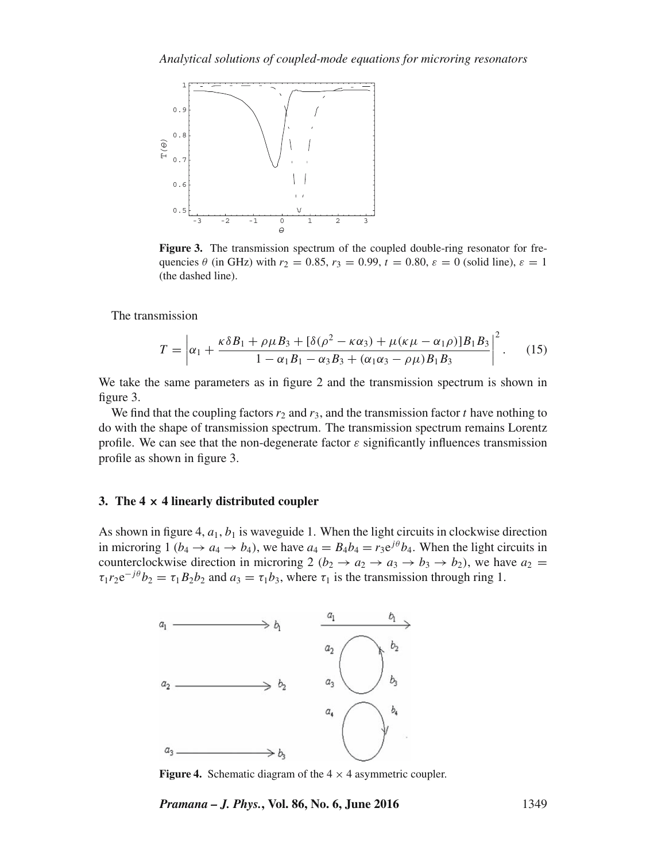

**Figure 3.** The transmission spectrum of the coupled double-ring resonator for frequencies  $\theta$  (in GHz) with  $r_2 = 0.85$ ,  $r_3 = 0.99$ ,  $t = 0.80$ ,  $\varepsilon = 0$  (solid line),  $\varepsilon = 1$ (the dashed line).

The transmission

$$
T = \left| \alpha_1 + \frac{\kappa \delta B_1 + \rho \mu B_3 + [\delta(\rho^2 - \kappa \alpha_3) + \mu(\kappa \mu - \alpha_1 \rho)] B_1 B_3}{1 - \alpha_1 B_1 - \alpha_3 B_3 + (\alpha_1 \alpha_3 - \rho \mu) B_1 B_3} \right|^2.
$$
 (15)

We take the same parameters as in figure 2 and the transmission spectrum is shown in figure 3.

We find that the coupling factors  $r_2$  and  $r_3$ , and the transmission factor t have nothing to do with the shape of transmission spectrum. The transmission spectrum remains Lorentz profile. We can see that the non-degenerate factor  $\varepsilon$  significantly influences transmission profile as shown in figure 3.

#### **3. The 4 × 4 linearly distributed coupler**

As shown in figure 4,  $a_1$ ,  $b_1$  is waveguide 1. When the light circuits in clockwise direction in microring 1 ( $b_4 \rightarrow a_4 \rightarrow b_4$ ), we have  $a_4 = B_4b_4 = r_3e^{j\theta}b_4$ . When the light circuits in counterclockwise direction in microring 2 ( $b_2 \rightarrow a_2 \rightarrow a_3 \rightarrow b_3 \rightarrow b_2$ ), we have  $a_2 =$  $\tau_1 r_2 e^{-j\theta} b_2 = \tau_1 B_2 b_2$  and  $a_3 = \tau_1 b_3$ , where  $\tau_1$  is the transmission through ring 1.



**Figure 4.** Schematic diagram of the  $4 \times 4$  asymmetric coupler.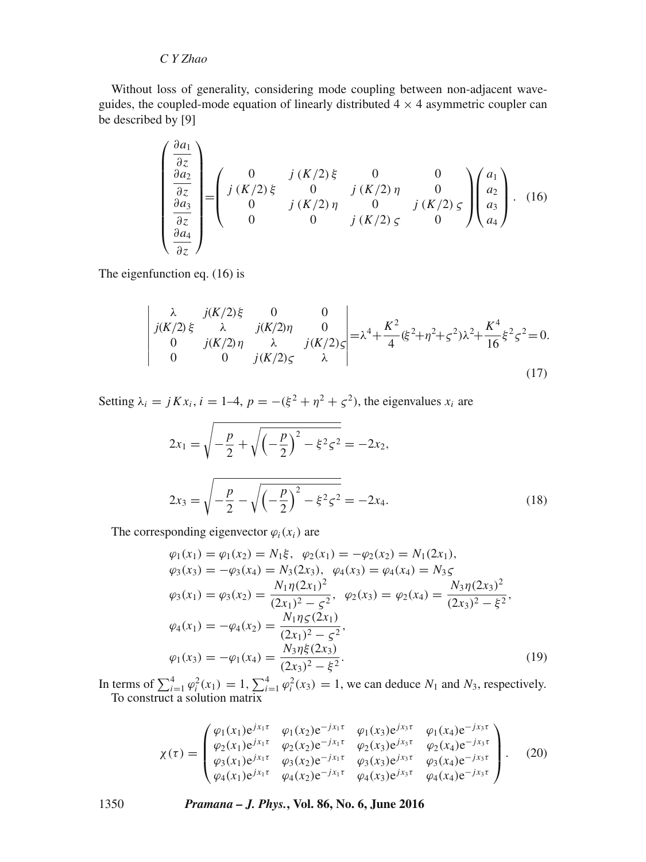Without loss of generality, considering mode coupling between non-adjacent waveguides, the coupled-mode equation of linearly distributed  $4 \times 4$  asymmetric coupler can be described by [9]

$$
\begin{pmatrix}\n\frac{\partial a_1}{\partial z} \\
\frac{\partial a_2}{\partial z} \\
\frac{\partial a_3}{\partial z} \\
\frac{\partial a_4}{\partial z}\n\end{pmatrix} = \begin{pmatrix}\n0 & j(K/2) \xi & 0 & 0 \\
j(K/2) \xi & 0 & j(K/2) \eta & 0 \\
0 & j(K/2) \eta & 0 & j(K/2) \xi \\
0 & 0 & j(K/2) \zeta & 0\n\end{pmatrix} \begin{pmatrix}\na_1 \\
a_2 \\
a_3 \\
a_4\n\end{pmatrix}.
$$
\n(16)

The eigenfunction eq. (16) is

$$
\begin{vmatrix} \lambda & j(K/2)\xi & 0 & 0\\ j(K/2)\xi & \lambda & j(K/2)\eta & 0\\ 0 & j(K/2)\eta & \lambda & j(K/2)\zeta\\ 0 & 0 & j(K/2)\zeta & \lambda \end{vmatrix} = \lambda^4 + \frac{K^2}{4}(\xi^2 + \eta^2 + \zeta^2)\lambda^2 + \frac{K^4}{16}\xi^2\zeta^2 = 0.
$$
\n(17)

Setting  $\lambda_i = jKx_i$ ,  $i = 1-4$ ,  $p = -(\xi^2 + \eta^2 + \zeta^2)$ , the eigenvalues  $x_i$  are

$$
2x_1 = \sqrt{-\frac{p}{2} + \sqrt{\left(-\frac{p}{2}\right)^2 - \xi^2 \zeta^2}} = -2x_2,
$$
  

$$
2x_3 = \sqrt{-\frac{p}{2} - \sqrt{\left(-\frac{p}{2}\right)^2 - \xi^2 \zeta^2}} = -2x_4.
$$
 (18)

The corresponding eigenvector  $\varphi_i(x_i)$  are

$$
\varphi_1(x_1) = \varphi_1(x_2) = N_1\xi, \quad \varphi_2(x_1) = -\varphi_2(x_2) = N_1(2x_1), \n\varphi_3(x_3) = -\varphi_3(x_4) = N_3(2x_3), \quad \varphi_4(x_3) = \varphi_4(x_4) = N_3\xi \n\varphi_3(x_1) = \varphi_3(x_2) = \frac{N_1\eta(2x_1)^2}{(2x_1)^2 - \xi^2}, \quad \varphi_2(x_3) = \varphi_2(x_4) = \frac{N_3\eta(2x_3)^2}{(2x_3)^2 - \xi^2}, \n\varphi_4(x_1) = -\varphi_4(x_2) = \frac{N_1\eta\xi(2x_1)}{(2x_1)^2 - \xi^2}, \n\varphi_1(x_3) = -\varphi_1(x_4) = \frac{N_3\eta\xi(2x_3)}{(2x_3)^2 - \xi^2}.
$$
\n(19)

In terms of  $\sum_{i=1}^{4} \varphi_i^2(x_1) = 1$ ,  $\sum_{i=1}^{4} \varphi_i^2(x_3) = 1$ , we can deduce  $N_1$  and  $N_3$ , respectively. To construct a solution matrix

$$
\chi(\tau) = \begin{pmatrix}\n\varphi_1(x_1)e^{jx_1\tau} & \varphi_1(x_2)e^{-jx_1\tau} & \varphi_1(x_3)e^{jx_3\tau} & \varphi_1(x_4)e^{-jx_3\tau} \\
\varphi_2(x_1)e^{jx_1\tau} & \varphi_2(x_2)e^{-jx_1\tau} & \varphi_2(x_3)e^{jx_3\tau} & \varphi_2(x_4)e^{-jx_3\tau} \\
\varphi_3(x_1)e^{jx_1\tau} & \varphi_3(x_2)e^{-jx_1\tau} & \varphi_3(x_3)e^{jx_3\tau} & \varphi_3(x_4)e^{-jx_3\tau} \\
\varphi_4(x_1)e^{jx_1\tau} & \varphi_4(x_2)e^{-jx_1\tau} & \varphi_4(x_3)e^{jx_3\tau} & \varphi_4(x_4)e^{-jx_3\tau}\n\end{pmatrix}.
$$
\n(20)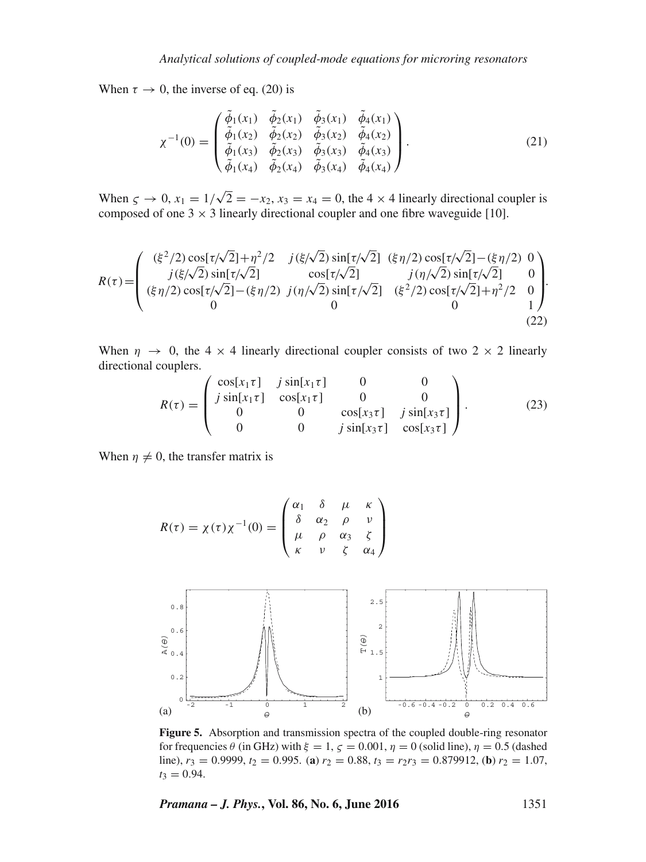When  $\tau \to 0$ , the inverse of eq. (20) is

$$
\chi^{-1}(0) = \begin{pmatrix} \tilde{\phi}_1(x_1) & \tilde{\phi}_2(x_1) & \tilde{\phi}_3(x_1) & \tilde{\phi}_4(x_1) \\ \tilde{\phi}_1(x_2) & \tilde{\phi}_2(x_2) & \tilde{\phi}_3(x_2) & \tilde{\phi}_4(x_2) \\ \tilde{\phi}_1(x_3) & \tilde{\phi}_2(x_3) & \tilde{\phi}_3(x_3) & \tilde{\phi}_4(x_3) \\ \tilde{\phi}_1(x_4) & \tilde{\phi}_2(x_4) & \tilde{\phi}_3(x_4) & \tilde{\phi}_4(x_4) \end{pmatrix}.
$$
 (21)

When  $\zeta \to 0$ ,  $x_1 = 1/\sqrt{2} = -x_2$ ,  $x_3 = x_4 = 0$ , the 4 × 4 linearly directional coupler is composed of one  $3 \times 3$  linearly directional coupler and one fibre waveguide [10].

$$
R(\tau) = \begin{pmatrix} (\xi^2/2) \cos[\tau/\sqrt{2}] + \eta^2/2 & j(\xi/\sqrt{2}) \sin[\tau/\sqrt{2}] & (\xi \eta/2) \cos[\tau/\sqrt{2}] - (\xi \eta/2) & 0 \\ j(\xi/\sqrt{2}) \sin[\tau/\sqrt{2}] & \cos[\tau/\sqrt{2}] & j(\eta/\sqrt{2}) \sin[\tau/\sqrt{2}] & 0 \\ (\xi \eta/2) \cos[\tau/\sqrt{2}] - (\xi \eta/2) & j(\eta/\sqrt{2}) \sin[\tau/\sqrt{2}] & (\xi^2/2) \cos[\tau/\sqrt{2}] + \eta^2/2 & 0 \\ 0 & 0 & 1 \end{pmatrix}.
$$
\n(22)

When  $\eta \rightarrow 0$ , the 4 × 4 linearly directional coupler consists of two 2 × 2 linearly directional couplers.

$$
R(\tau) = \begin{pmatrix} \cos[x_1\tau] & j\sin[x_1\tau] & 0 & 0\\ j\sin[x_1\tau] & \cos[x_1\tau] & 0 & 0\\ 0 & 0 & \cos[x_3\tau] & j\sin[x_3\tau] \\ 0 & 0 & j\sin[x_3\tau] & \cos[x_3\tau] \end{pmatrix}.
$$
 (23)

When  $\eta \neq 0$ , the transfer matrix is

$$
R(\tau) = \chi(\tau)\chi^{-1}(0) = \begin{pmatrix} \alpha_1 & \delta & \mu & \kappa \\ \delta & \alpha_2 & \rho & \nu \\ \mu & \rho & \alpha_3 & \zeta \\ \kappa & \nu & \zeta & \alpha_4 \end{pmatrix}
$$



**Figure 5.** Absorption and transmission spectra of the coupled double-ring resonator for frequencies  $\theta$  (in GHz) with  $\xi = 1$ ,  $\zeta = 0.001$ ,  $\eta = 0$  (solid line),  $\eta = 0.5$  (dashed line),  $r_3 = 0.9999$ ,  $t_2 = 0.995$ . (**a**)  $r_2 = 0.88$ ,  $t_3 = r_2r_3 = 0.879912$ , (**b**)  $r_2 = 1.07$ ,  $t_3 = 0.94$ .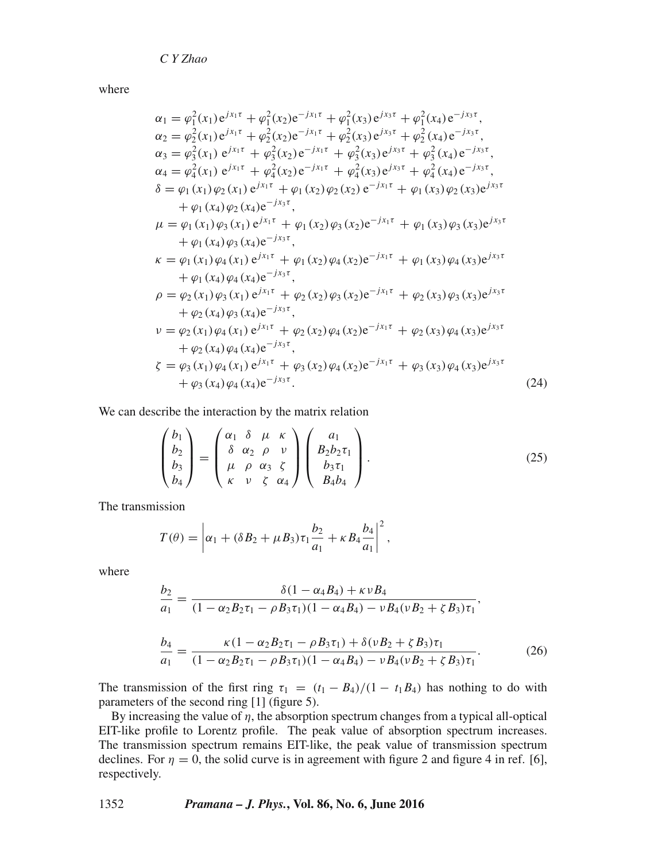where

$$
\alpha_{1} = \varphi_{1}^{2}(x_{1})e^{j x_{1} \tau} + \varphi_{1}^{2}(x_{2})e^{-j x_{1} \tau} + \varphi_{1}^{2}(x_{3})e^{j x_{3} \tau} + \varphi_{1}^{2}(x_{4})e^{-j x_{3} \tau},
$$
\n
$$
\alpha_{2} = \varphi_{2}^{2}(x_{1})e^{j x_{1} \tau} + \varphi_{2}^{2}(x_{2})e^{-j x_{1} \tau} + \varphi_{2}^{2}(x_{3})e^{j x_{3} \tau} + \varphi_{2}^{2}(x_{4})e^{-j x_{3} \tau},
$$
\n
$$
\alpha_{3} = \varphi_{3}^{2}(x_{1})e^{j x_{1} \tau} + \varphi_{3}^{2}(x_{2})e^{-j x_{1} \tau} + \varphi_{3}^{2}(x_{3})e^{j x_{3} \tau} + \varphi_{2}^{2}(x_{4})e^{-j x_{3} \tau},
$$
\n
$$
\alpha_{4} = \varphi_{4}^{2}(x_{1})e^{j x_{1} \tau} + \varphi_{4}^{2}(x_{2})e^{-j x_{1} \tau} + \varphi_{4}^{2}(x_{3})e^{j x_{3} \tau} + \varphi_{4}^{2}(x_{4})e^{-j x_{3} \tau},
$$
\n
$$
\delta = \varphi_{1}(x_{1})\varphi_{2}(x_{1})e^{j x_{1} \tau} + \varphi_{1}(x_{2})\varphi_{2}(x_{2})e^{-j x_{1} \tau} + \varphi_{1}(x_{3})\varphi_{2}(x_{3})e^{j x_{3} \tau} + \varphi_{1}(x_{4})\varphi_{2}(x_{4})e^{-j x_{3} \tau},
$$
\n
$$
\mu = \varphi_{1}(x_{1})\varphi_{3}(x_{1})e^{j x_{1} \tau} + \varphi_{1}(x_{2})\varphi_{3}(x_{2})e^{-j x_{1} \tau} + \varphi_{1}(x_{3})\varphi_{3}(x_{3})e^{j x_{3} \tau} + \varphi_{1}(x_{4})\varphi_{3}(x_{4})e^{-j x_{3} \tau},
$$
\n
$$
\kappa = \varphi_{1}(x_{1})\varphi_{4}(x_{1})e^{j x_{1} \tau} + \varphi_{1}(x_{2})\varphi_{4
$$

We can describe the interaction by the matrix relation

$$
\begin{pmatrix} b_1 \\ b_2 \\ b_3 \\ b_4 \end{pmatrix} = \begin{pmatrix} \alpha_1 & \delta & \mu & \kappa \\ \delta & \alpha_2 & \rho & \nu \\ \mu & \rho & \alpha_3 & \zeta \\ \kappa & \nu & \zeta & \alpha_4 \end{pmatrix} \begin{pmatrix} a_1 \\ B_2 b_2 \tau_1 \\ b_3 \tau_1 \\ B_4 b_4 \end{pmatrix} . \tag{25}
$$

The transmission

$$
T(\theta) = \left| \alpha_1 + (\delta B_2 + \mu B_3) \tau_1 \frac{b_2}{a_1} + \kappa B_4 \frac{b_4}{a_1} \right|^2,
$$

where

$$
\frac{b_2}{a_1} = \frac{\delta(1 - \alpha_4 B_4) + \kappa v B_4}{(1 - \alpha_2 B_2 \tau_1 - \rho B_3 \tau_1)(1 - \alpha_4 B_4) - v B_4 (v B_2 + \zeta B_3) \tau_1}
$$

$$
\frac{b_4}{a_1} = \frac{\kappa (1 - \alpha_2 B_2 \tau_1 - \rho B_3 \tau_1) + \delta (\nu B_2 + \zeta B_3) \tau_1}{(1 - \alpha_2 B_2 \tau_1 - \rho B_3 \tau_1)(1 - \alpha_4 B_4) - \nu B_4 (\nu B_2 + \zeta B_3) \tau_1}.
$$
(26)

,

The transmission of the first ring  $\tau_1 = (t_1 - B_4)/(1 - t_1B_4)$  has nothing to do with parameters of the second ring [1] (figure 5).

By increasing the value of  $\eta$ , the absorption spectrum changes from a typical all-optical EIT-like profile to Lorentz profile. The peak value of absorption spectrum increases. The transmission spectrum remains EIT-like, the peak value of transmission spectrum declines. For  $\eta = 0$ , the solid curve is in agreement with figure 2 and figure 4 in ref. [6], respectively.